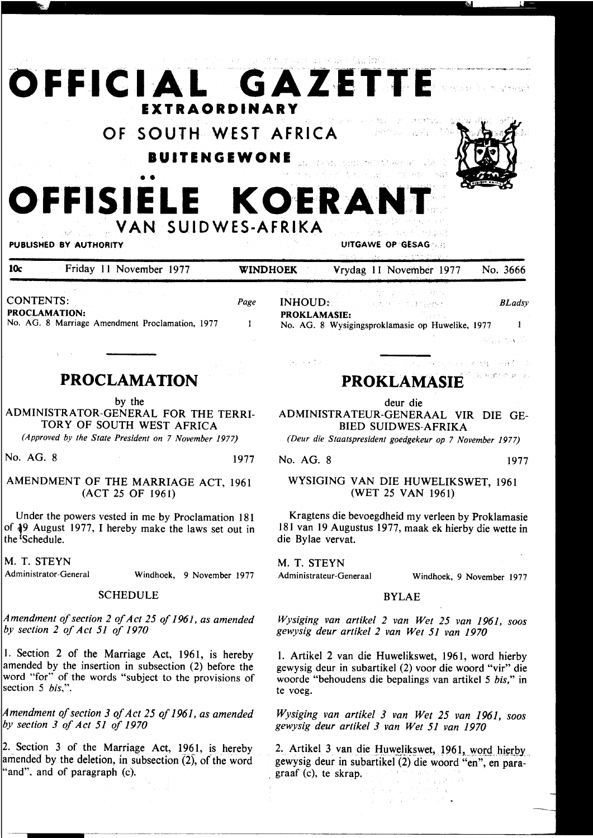## **OFFICIAL GAZETTE EXTRAORDINARY**  Sun to: **OF SOUTH WEST AFRICA**  in gener **IUITENGEWONE**  OFFISIELE KOERANT **VAN SUIDWES-AFRIKA**  PUBLISHED BY AUTHORITY **UITGAWE OP GESAG** *b***.**: 10c Friday 11 November 1977 WINDHOEK Vrydag 11 November 1977 No. 3666 CONTENTS: *Page*  INHOUD: *BLadsy*  PROCLAMATION: PROKLAMASIE:

 $\mathbf{1}$ 

No. AG. 8 Marriage Amendment Proclamation, 1977

### **PROCLAMATION**

by the

ADMINISTRATOR-GENERAL FOR THE TERRI-TORY OF SOUTH WEST AFRICA

*(Approved by the State President on* 7 *November 1977)* 

No. AG. 8 1977

### AMENDMENT OF THE MARRIAGE ACT, 1961 (ACT 25 OF 1961)

Under the powers vested in me by Proclamation 181 of 49 August 1977, I hereby make the laws set out in the <sup>*i*</sup>Schedule.

M. T. STEYN

Administrator-General Windhoek, 9 November 1977

### SCHEDULE

*Amendment of section 2 of Act 25 of 1961, as amended by section 2 of Act 51 of 1970* 

I. Section 2 of the Marriage Act, 1961, is hereby amended by the insertion in subsection (2) before the word "for" of the words "subject to the provisions of section 5 *bis,".* 

*mendment of section 3 of Act 25 of 1961, as amended section 3 of Act 51 of 1970* 

Section 3 of the Marriage Act, 1961, is hereby mended by the deletion, in subsection (2), of the word 'and", and of paragraph (c).

# **PROKLAMASIE**

No. AG. 8 Wysigingsproklamasie op Huwelike, 1977

deur die

ADMINISTRATEUR-GENERAAL VIR DIE GE-BIED SUIDWES-AFRIKA

*(Deur die Staatspresident goedgekeur op* 7 *November 1977)* 

No. AG. 8 1977

 $\mathcal{A}_2$  , and  $\mathcal{A}_2$ 

### WYSIGING VAN DIE HUWELIKSWET, 1961 (WET 25 VAN 1961)

Kragtens die bevoegdheid my verleen by Proklamasie 181 van 19 Augustus 1977, maak ek hierby die wette in die Bylae vervat.

M. T. STEYN

Administrateur-Generaal Windhoek, 9 November 1977

 $\mathbf{1}$ 

9523 ないご

Subsequences se

。<br>例10.5cm,Ain特:内联数

### BYLAE

*Wysiging van artikel 2 van Wet 25 van 1961, soos gewysig deur artike/ 2 van Wet 51 van 1970* 

I. Artikel 2 van die Huwelikswet, 1961, word hierby gewysig deur in subartikel (2) voor die woord "vir" die woorde "behoudens die bepalings van artikel 5 *bis,"* in te voeg.

*Wysiging van artikel 3 van Wet 25 van 1961, soos gewysig deur artikel 3 van Wet 51 van 1970* 

2. Artikel 3 van die Huwelikswet, 1961, word hierby gewysig deur in subartikel (2) die woord "en", en para- , graaf (c), te skrap.

中国 国際 (国)